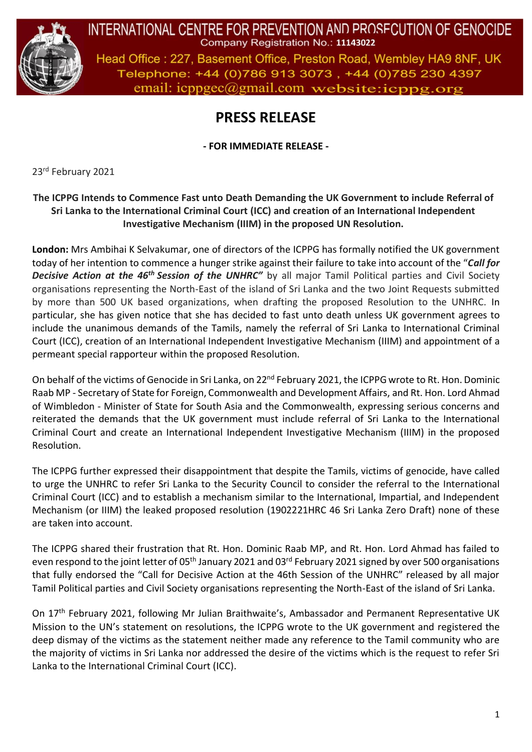

INTERNATIONAL CENTRE FOR PREVENTION AND PROSECUTION OF GENOCIDE Company Registration No.: 11143022

Head Office: 227, Basement Office, Preston Road, Wembley HA9 8NF, UK Telephone: +44 (0)786 913 3073, +44 (0)785 230 4397 email: icppgec@gmail.com website:icppg.org

## **PRESS RELEASE**

**- FOR IMMEDIATE RELEASE -**

23rd February 2021

## **The ICPPG Intends to Commence Fast unto Death Demanding the UK Government to include Referral of Sri Lanka to the International Criminal Court (ICC) and creation of an International Independent Investigative Mechanism (IIIM) in the proposed UN Resolution.**

**London:** Mrs Ambihai K Selvakumar, one of directors of the ICPPG has formally notified the UK government today of her intention to commence a hunger strike against their failure to take into account of the "*Call for Decisive Action at the 46th Session of the UNHRC"* by all major Tamil Political parties and Civil Society organisations representing the North-East of the island of Sri Lanka and the two Joint Requests submitted by more than 500 UK based organizations, when drafting the proposed Resolution to the UNHRC. In particular, she has given notice that she has decided to fast unto death unless UK government agrees to include the unanimous demands of the Tamils, namely the referral of Sri Lanka to International Criminal Court (ICC), creation of an International Independent Investigative Mechanism (IIIM) and appointment of a permeant special rapporteur within the proposed Resolution.

On behalf of the victims of Genocide in Sri Lanka, on 22<sup>nd</sup> February 2021, the ICPPG wrote to Rt. Hon. Dominic Raab MP - Secretary of State for Foreign, Commonwealth and Development Affairs, and Rt. Hon. Lord Ahmad of Wimbledon - Minister of State for South Asia and the Commonwealth, expressing serious concerns and reiterated the demands that the UK government must include referral of Sri Lanka to the International Criminal Court and create an International Independent Investigative Mechanism (IIIM) in the proposed Resolution.

The ICPPG further expressed their disappointment that despite the Tamils, victims of genocide, have called to urge the UNHRC to refer Sri Lanka to the Security Council to consider the referral to the International Criminal Court (ICC) and to establish a mechanism similar to the International, Impartial, and Independent Mechanism (or IIIM) the leaked proposed resolution (1902221HRC 46 Sri Lanka Zero Draft) none of these are taken into account.

The ICPPG shared their frustration that Rt. Hon. Dominic Raab MP, and Rt. Hon. Lord Ahmad has failed to even respond to the joint letter of 05<sup>th</sup> January 2021 and 03<sup>rd</sup> February 2021 signed by over 500 organisations that fully endorsed the "Call for Decisive Action at the 46th Session of the UNHRC" released by all major Tamil Political parties and Civil Society organisations representing the North-East of the island of Sri Lanka.

On 17<sup>th</sup> February 2021, following Mr Julian Braithwaite's, Ambassador and Permanent Representative UK Mission to the UN's statement on resolutions, the ICPPG wrote to the UK government and registered the deep dismay of the victims as the statement neither made any reference to the Tamil community who are the majority of victims in Sri Lanka nor addressed the desire of the victims which is the request to refer Sri Lanka to the International Criminal Court (ICC).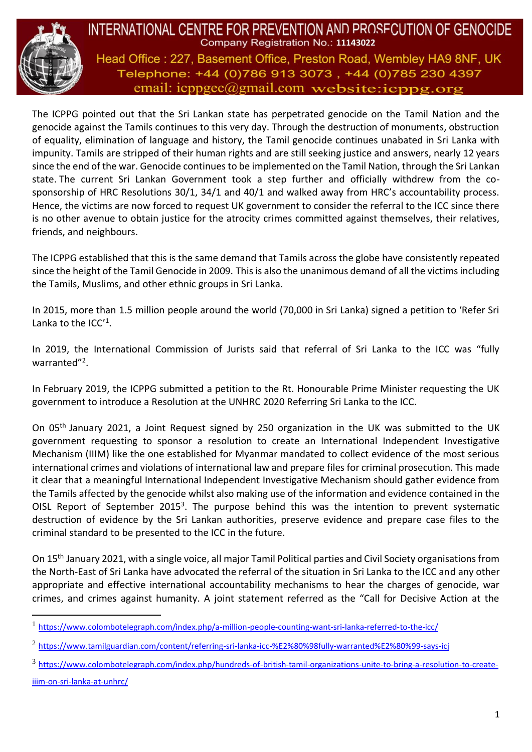

INTERNATIONAL CENTRE FOR PREVENTION AND PROSFCUTION OF GENOCIDE Company Registration No.: 11143022 Head Office: 227, Basement Office, Preston Road, Wembley HA9 8NF, UK Telephone: +44 (0)786 913 3073, +44 (0)785 230 4397 email: icppgec@gmail.com website:icppg.org

The ICPPG pointed out that the Sri Lankan state has perpetrated genocide on the Tamil Nation and the genocide against the Tamils continues to this very day. Through the destruction of monuments, obstruction of equality, elimination of language and history, the Tamil genocide continues unabated in Sri Lanka with impunity. Tamils are stripped of their human rights and are still seeking justice and answers, nearly 12 years since the end of the war. Genocide continues to be implemented on the Tamil Nation, through the Sri Lankan state. The current Sri Lankan Government took a step further and officially withdrew from the cosponsorship of HRC Resolutions 30/1, 34/1 and 40/1 and walked away from HRC's accountability process. Hence, the victims are now forced to request UK government to consider the referral to the ICC since there is no other avenue to obtain justice for the atrocity crimes committed against themselves, their relatives, friends, and neighbours.

The ICPPG established that this is the same demand that Tamils across the globe have consistently repeated since the height of the Tamil Genocide in 2009. This is also the unanimous demand of all the victims including the Tamils, Muslims, and other ethnic groups in Sri Lanka.

In 2015, more than 1.5 million people around the world (70,000 in Sri Lanka) signed a petition to 'Refer Sri Lanka to the ICC'<sup>1</sup>.

In 2019, the International Commission of Jurists said that referral of Sri Lanka to the ICC was "fully warranted"<sup>2</sup>.

In February 2019, the ICPPG submitted a petition to the Rt. Honourable Prime Minister requesting the UK government to introduce a Resolution at the UNHRC 2020 Referring Sri Lanka to the ICC.

On 05th January 2021, a Joint Request signed by 250 organization in the UK was submitted to the UK government requesting to sponsor a resolution to create an International Independent Investigative Mechanism (IIIM) like the one established for Myanmar mandated to collect evidence of the most serious international crimes and violations of international law and prepare files for criminal prosecution. This made it clear that a meaningful International Independent Investigative Mechanism should gather evidence from the Tamils affected by the genocide whilst also making use of the information and evidence contained in the OISL Report of September 2015<sup>3</sup>. The purpose behind this was the intention to prevent systematic destruction of evidence by the Sri Lankan authorities, preserve evidence and prepare case files to the criminal standard to be presented to the ICC in the future.

On 15th January 2021, with a single voice, all major Tamil Political parties and Civil Society organisations from the North-East of Sri Lanka have advocated the referral of the situation in Sri Lanka to the ICC and any other appropriate and effective international accountability mechanisms to hear the charges of genocide, war crimes, and crimes against humanity. A joint statement referred as the "Call for Decisive Action at the

iiim-on-sri-lanka-at-unhrc/

<sup>1</sup> https://www.colombotelegraph.com/index.php/a-million-people-counting-want-sri-lanka-referred-to-the-icc/

<sup>2</sup> https://www.tamilguardian.com/content/referring-sri-lanka-icc-%E2%80%98fully-warranted%E2%80%99-says-icj

<sup>&</sup>lt;sup>3</sup> https://www.colombotelegraph.com/index.php/hundreds-of-british-tamil-organizations-unite-to-bring-a-resolution-to-create-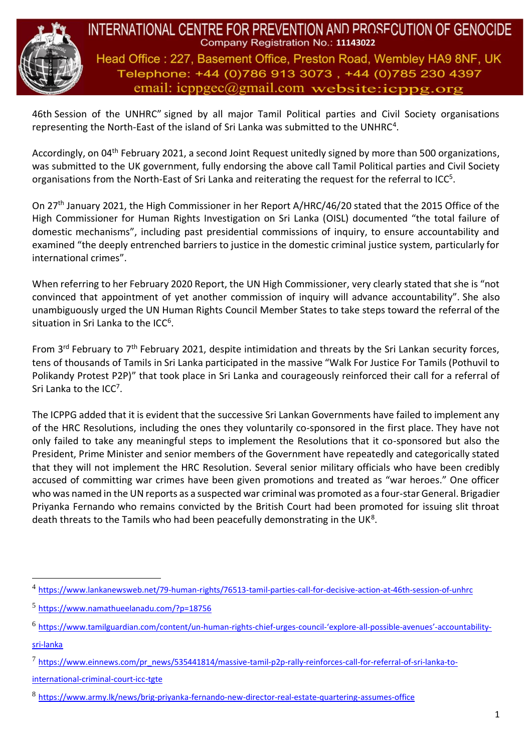

INTERNATIONAL CENTRE FOR PREVENTION AND PROSFCUTION OF GENOCIDE Company Registration No.: 11143022 Head Office: 227, Basement Office, Preston Road, Wembley HA9 8NF, UK Telephone: +44 (0)786 913 3073, +44 (0)785 230 4397 email:  $icpp\text{gec}(\partial g)$ mail.com website: $icppg.$ org

46th Session of the UNHRC" signed by all major Tamil Political parties and Civil Society organisations representing the North-East of the island of Sri Lanka was submitted to the UNHRC<sup>4</sup>.

Accordingly, on 04<sup>th</sup> February 2021, a second Joint Request unitedly signed by more than 500 organizations, was submitted to the UK government, fully endorsing the above call Tamil Political parties and Civil Society organisations from the North-East of Sri Lanka and reiterating the request for the referral to ICC<sup>5</sup>.

On 27th January 2021, the High Commissioner in her Report A/HRC/46/20 stated that the 2015 Office of the High Commissioner for Human Rights Investigation on Sri Lanka (OISL) documented "the total failure of domestic mechanisms", including past presidential commissions of inquiry, to ensure accountability and examined "the deeply entrenched barriers to justice in the domestic criminal justice system, particularly for international crimes".

When referring to her February 2020 Report, the UN High Commissioner, very clearly stated that she is "not convinced that appointment of yet another commission of inquiry will advance accountability". She also unambiguously urged the UN Human Rights Council Member States to take steps toward the referral of the situation in Sri Lanka to the ICC<sup>6</sup>.

From 3<sup>rd</sup> February to 7<sup>th</sup> February 2021, despite intimidation and threats by the Sri Lankan security forces, tens of thousands of Tamils in Sri Lanka participated in the massive "Walk For Justice For Tamils (Pothuvil to Polikandy Protest P2P)" that took place in Sri Lanka and courageously reinforced their call for a referral of Sri Lanka to the ICC<sup>7</sup>.

The ICPPG added that it is evident that the successive Sri Lankan Governments have failed to implement any of the HRC Resolutions, including the ones they voluntarily co-sponsored in the first place. They have not only failed to take any meaningful steps to implement the Resolutions that it co-sponsored but also the President, Prime Minister and senior members of the Government have repeatedly and categorically stated that they will not implement the HRC Resolution. Several senior military officials who have been credibly accused of committing war crimes have been given promotions and treated as "war heroes." One officer who was named in the UN reports as a suspected war criminal was promoted as a four-star General. Brigadier Priyanka Fernando who remains convicted by the British Court had been promoted for issuing slit throat death threats to the Tamils who had been peacefully demonstrating in the UK<sup>8</sup>.

international-criminal-court-icc-tgte

<sup>4</sup> https://www.lankanewsweb.net/79-human-rights/76513-tamil-parties-call-for-decisive-action-at-46th-session-of-unhrc

<sup>5</sup> https://www.namathueelanadu.com/?p=18756

<sup>6</sup> https://www.tamilguardian.com/content/un-human-rights-chief-urges-council-'explore-all-possible-avenues'-accountabilitysri-lanka

<sup>&</sup>lt;sup>7</sup>https://www.einnews.com/pr\_news/535441814/massive-tamil-p2p-rally-reinforces-call-for-referral-of-sri-lanka-to-

<sup>8</sup> https://www.army.lk/news/brig-priyanka-fernando-new-director-real-estate-quartering-assumes-office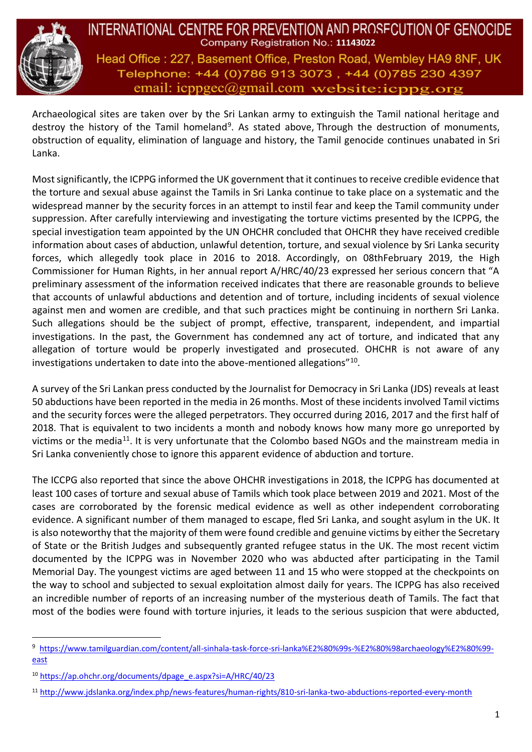

INTERNATIONAL CENTRE FOR PREVENTION AND PROSFCUTION OF GENOCIDE Company Registration No.: 11143022 Head Office: 227, Basement Office, Preston Road, Wembley HA9 8NF, UK Telephone: +44 (0)786 913 3073, +44 (0)785 230 4397 email:  $icpp\alpha$  email.com website:  $icpp\alpha$ .org

Archaeological sites are taken over by the Sri Lankan army to extinguish the Tamil national heritage and destroy the history of the Tamil homeland<sup>9</sup>. As stated above, Through the destruction of monuments, obstruction of equality, elimination of language and history, the Tamil genocide continues unabated in Sri Lanka.

Most significantly, the ICPPG informed the UK government that it continues to receive credible evidence that the torture and sexual abuse against the Tamils in Sri Lanka continue to take place on a systematic and the widespread manner by the security forces in an attempt to instil fear and keep the Tamil community under suppression. After carefully interviewing and investigating the torture victims presented by the ICPPG, the special investigation team appointed by the UN OHCHR concluded that OHCHR they have received credible information about cases of abduction, unlawful detention, torture, and sexual violence by Sri Lanka security forces, which allegedly took place in 2016 to 2018. Accordingly, on 08thFebruary 2019, the High Commissioner for Human Rights, in her annual report A/HRC/40/23 expressed her serious concern that "A preliminary assessment of the information received indicates that there are reasonable grounds to believe that accounts of unlawful abductions and detention and of torture, including incidents of sexual violence against men and women are credible, and that such practices might be continuing in northern Sri Lanka. Such allegations should be the subject of prompt, effective, transparent, independent, and impartial investigations. In the past, the Government has condemned any act of torture, and indicated that any allegation of torture would be properly investigated and prosecuted. OHCHR is not aware of any investigations undertaken to date into the above-mentioned allegations"<sup>10</sup> .

A survey of the Sri Lankan press conducted by the Journalist for Democracy in Sri Lanka (JDS) reveals at least 50 abductions have been reported in the media in 26 months. Most of these incidents involved Tamil victims and the security forces were the alleged perpetrators. They occurred during 2016, 2017 and the first half of 2018. That is equivalent to two incidents a month and nobody knows how many more go unreported by victims or the media<sup>11</sup>. It is very unfortunate that the Colombo based NGOs and the mainstream media in Sri Lanka conveniently chose to ignore this apparent evidence of abduction and torture.

The ICCPG also reported that since the above OHCHR investigations in 2018, the ICPPG has documented at least 100 cases of torture and sexual abuse of Tamils which took place between 2019 and 2021. Most of the cases are corroborated by the forensic medical evidence as well as other independent corroborating evidence. A significant number of them managed to escape, fled Sri Lanka, and sought asylum in the UK. It is also noteworthy that the majority of them were found credible and genuine victims by either the Secretary of State or the British Judges and subsequently granted refugee status in the UK. The most recent victim documented by the ICPPG was in November 2020 who was abducted after participating in the Tamil Memorial Day. The youngest victims are aged between 11 and 15 who were stopped at the checkpoints on the way to school and subjected to sexual exploitation almost daily for years. The ICPPG has also received an incredible number of reports of an increasing number of the mysterious death of Tamils. The fact that most of the bodies were found with torture injuries, it leads to the serious suspicion that were abducted,

<sup>9</sup> [https://www.tamilguardian.com/content/all-sinhala-task-force-sri-lanka%E2%80%99s-%E2%80%98archaeology%E2%80%99](about:blank) [east](about:blank)

<sup>10</sup> [https://ap.ohchr.org/documents/dpage\\_e.aspx?si=A/HRC/40/23](about:blank)

<sup>11</sup> [http://www.jdslanka.org/index.php/news-features/human-rights/810-sri-lanka-two-abductions-reported-every-month](about:blank)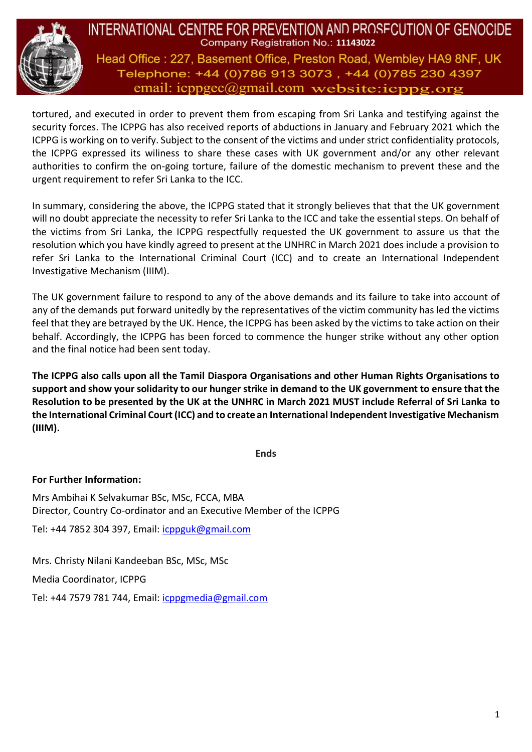

INTERNATIONAL CENTRE FOR PREVENTION AND PROSECUTION OF GENOCIDE Company Registration No.: 11143022 Head Office: 227, Basement Office, Preston Road, Wembley HA9 8NF, UK Telephone: +44 (0)786 913 3073, +44 (0)785 230 4397 email:  $icpp\alpha$ egmail.com website: $icpp\alpha$ .org

tortured, and executed in order to prevent them from escaping from Sri Lanka and testifying against the security forces. The ICPPG has also received reports of abductions in January and February 2021 which the ICPPG is working on to verify. Subject to the consent of the victims and under strict confidentiality protocols, the ICPPG expressed its wiliness to share these cases with UK government and/or any other relevant authorities to confirm the on-going torture, failure of the domestic mechanism to prevent these and the urgent requirement to refer Sri Lanka to the ICC.

In summary, considering the above, the ICPPG stated that it strongly believes that that the UK government will no doubt appreciate the necessity to refer Sri Lanka to the ICC and take the essential steps. On behalf of the victims from Sri Lanka, the ICPPG respectfully requested the UK government to assure us that the resolution which you have kindly agreed to present at the UNHRC in March 2021 does include a provision to refer Sri Lanka to the International Criminal Court (ICC) and to create an International Independent Investigative Mechanism (IIIM).

The UK government failure to respond to any of the above demands and its failure to take into account of any of the demands put forward unitedly by the representatives of the victim community has led the victims feel that they are betrayed by the UK. Hence, the ICPPG has been asked by the victims to take action on their behalf. Accordingly, the ICPPG has been forced to commence the hunger strike without any other option and the final notice had been sent today.

**The ICPPG also calls upon all the Tamil Diaspora Organisations and other Human Rights Organisations to support and show your solidarity to our hunger strike in demand to the UK government to ensure that the Resolution to be presented by the UK at the UNHRC in March 2021 MUST include Referral of Sri Lanka to the International Criminal Court (ICC) and to create an International Independent Investigative Mechanism (IIIM).**

**Ends**

## **For Further Information:**

Mrs Ambihai K Selvakumar BSc, MSc, FCCA, MBA Director, Country Co-ordinator and an Executive Member of the ICPPG

Tel: +44 7852 304 397, Email: [icppguk@gmail.com](about:blank)

Mrs. Christy Nilani Kandeeban BSc, MSc, MSc

Media Coordinator, ICPPG

Tel: +44 7579 781 744, Email: [icppgmedia@gmail.com](about:blank)